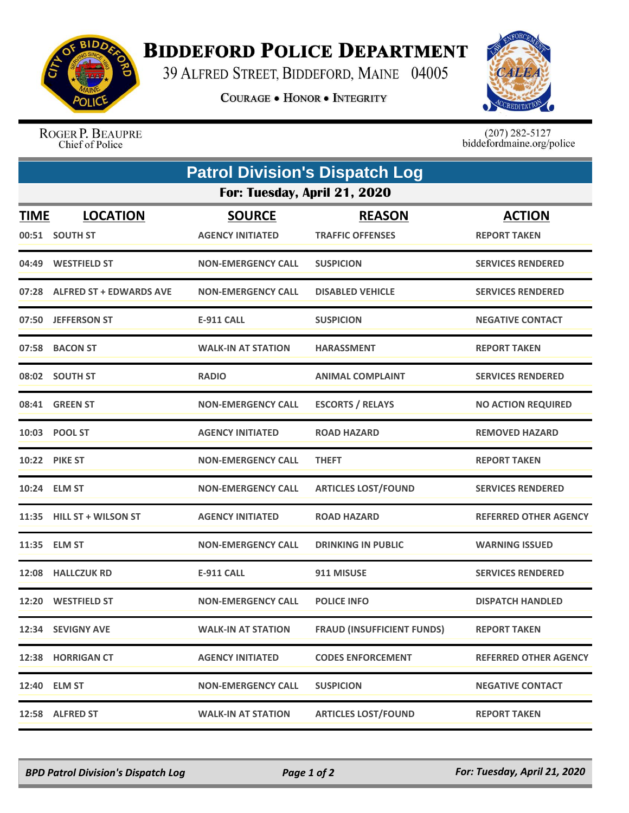

## **BIDDEFORD POLICE DEPARTMENT**

39 ALFRED STREET, BIDDEFORD, MAINE 04005

**COURAGE . HONOR . INTEGRITY** 



ROGER P. BEAUPRE Chief of Police

 $(207)$  282-5127<br>biddefordmaine.org/police

|                              | <b>Patrol Division's Dispatch Log</b> |                                          |                                          |                                      |  |  |  |
|------------------------------|---------------------------------------|------------------------------------------|------------------------------------------|--------------------------------------|--|--|--|
| For: Tuesday, April 21, 2020 |                                       |                                          |                                          |                                      |  |  |  |
| <u>TIME</u>                  | <b>LOCATION</b><br>00:51 SOUTH ST     | <b>SOURCE</b><br><b>AGENCY INITIATED</b> | <b>REASON</b><br><b>TRAFFIC OFFENSES</b> | <b>ACTION</b><br><b>REPORT TAKEN</b> |  |  |  |
|                              | 04:49 WESTFIELD ST                    | <b>NON-EMERGENCY CALL</b>                | <b>SUSPICION</b>                         | <b>SERVICES RENDERED</b>             |  |  |  |
|                              | 07:28 ALFRED ST + EDWARDS AVE         | <b>NON-EMERGENCY CALL</b>                | <b>DISABLED VEHICLE</b>                  | <b>SERVICES RENDERED</b>             |  |  |  |
|                              | 07:50 JEFFERSON ST                    | <b>E-911 CALL</b>                        | <b>SUSPICION</b>                         | <b>NEGATIVE CONTACT</b>              |  |  |  |
|                              | 07:58 BACON ST                        | <b>WALK-IN AT STATION</b>                | <b>HARASSMENT</b>                        | <b>REPORT TAKEN</b>                  |  |  |  |
|                              | 08:02 SOUTH ST                        | <b>RADIO</b>                             | <b>ANIMAL COMPLAINT</b>                  | <b>SERVICES RENDERED</b>             |  |  |  |
|                              | 08:41 GREEN ST                        | <b>NON-EMERGENCY CALL</b>                | <b>ESCORTS / RELAYS</b>                  | <b>NO ACTION REQUIRED</b>            |  |  |  |
| 10:03                        | <b>POOL ST</b>                        | <b>AGENCY INITIATED</b>                  | <b>ROAD HAZARD</b>                       | <b>REMOVED HAZARD</b>                |  |  |  |
|                              | <b>10:22 PIKE ST</b>                  | <b>NON-EMERGENCY CALL</b>                | <b>THEFT</b>                             | <b>REPORT TAKEN</b>                  |  |  |  |
|                              | 10:24 ELM ST                          | <b>NON-EMERGENCY CALL</b>                | <b>ARTICLES LOST/FOUND</b>               | <b>SERVICES RENDERED</b>             |  |  |  |
|                              | 11:35 HILL ST + WILSON ST             | <b>AGENCY INITIATED</b>                  | <b>ROAD HAZARD</b>                       | <b>REFERRED OTHER AGENCY</b>         |  |  |  |
|                              | 11:35 ELM ST                          | <b>NON-EMERGENCY CALL</b>                | <b>DRINKING IN PUBLIC</b>                | <b>WARNING ISSUED</b>                |  |  |  |
|                              | 12:08 HALLCZUK RD                     | <b>E-911 CALL</b>                        | 911 MISUSE                               | <b>SERVICES RENDERED</b>             |  |  |  |
|                              | 12:20 WESTFIELD ST                    | <b>NON-EMERGENCY CALL</b>                | <b>POLICE INFO</b>                       | <b>DISPATCH HANDLED</b>              |  |  |  |
|                              | 12:34 SEVIGNY AVE                     | <b>WALK-IN AT STATION</b>                | <b>FRAUD (INSUFFICIENT FUNDS)</b>        | <b>REPORT TAKEN</b>                  |  |  |  |
|                              | 12:38 HORRIGAN CT                     | <b>AGENCY INITIATED</b>                  | <b>CODES ENFORCEMENT</b>                 | <b>REFERRED OTHER AGENCY</b>         |  |  |  |
|                              | 12:40 ELM ST                          | <b>NON-EMERGENCY CALL</b>                | <b>SUSPICION</b>                         | <b>NEGATIVE CONTACT</b>              |  |  |  |
|                              | 12:58 ALFRED ST                       | <b>WALK-IN AT STATION</b>                | <b>ARTICLES LOST/FOUND</b>               | <b>REPORT TAKEN</b>                  |  |  |  |